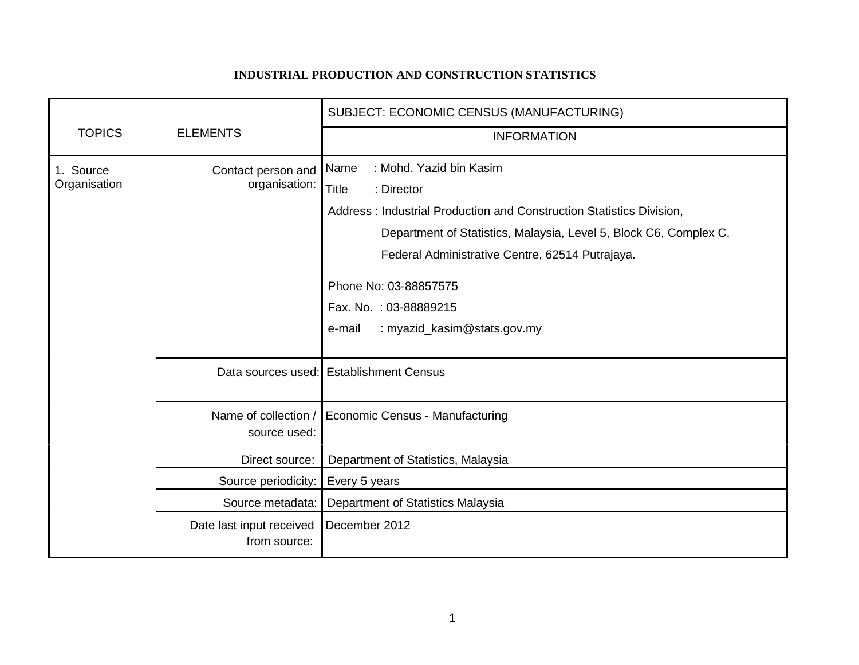## **INDUSTRIAL PRODUCTION AND CONSTRUCTION STATISTICS**

|                           |                                          | SUBJECT: ECONOMIC CENSUS (MANUFACTURING)                             |
|---------------------------|------------------------------------------|----------------------------------------------------------------------|
| <b>TOPICS</b>             | <b>ELEMENTS</b>                          | <b>INFORMATION</b>                                                   |
| 1. Source<br>Organisation | Contact person and<br>organisation:      | : Mohd. Yazid bin Kasim<br>Name                                      |
|                           |                                          | <b>Title</b><br>: Director                                           |
|                           |                                          | Address: Industrial Production and Construction Statistics Division, |
|                           |                                          | Department of Statistics, Malaysia, Level 5, Block C6, Complex C,    |
|                           |                                          | Federal Administrative Centre, 62514 Putrajaya.                      |
|                           |                                          | Phone No: 03-88857575                                                |
|                           |                                          | Fax. No.: 03-88889215                                                |
|                           |                                          | : myazid_kasim@stats.gov.my<br>e-mail                                |
|                           |                                          | Data sources used: Establishment Census                              |
|                           | Name of collection /<br>source used:     | Economic Census - Manufacturing                                      |
|                           | Direct source:                           | Department of Statistics, Malaysia                                   |
|                           | Source periodicity:                      | Every 5 years                                                        |
|                           | Source metadata:                         | Department of Statistics Malaysia                                    |
|                           | Date last input received<br>from source: | December 2012                                                        |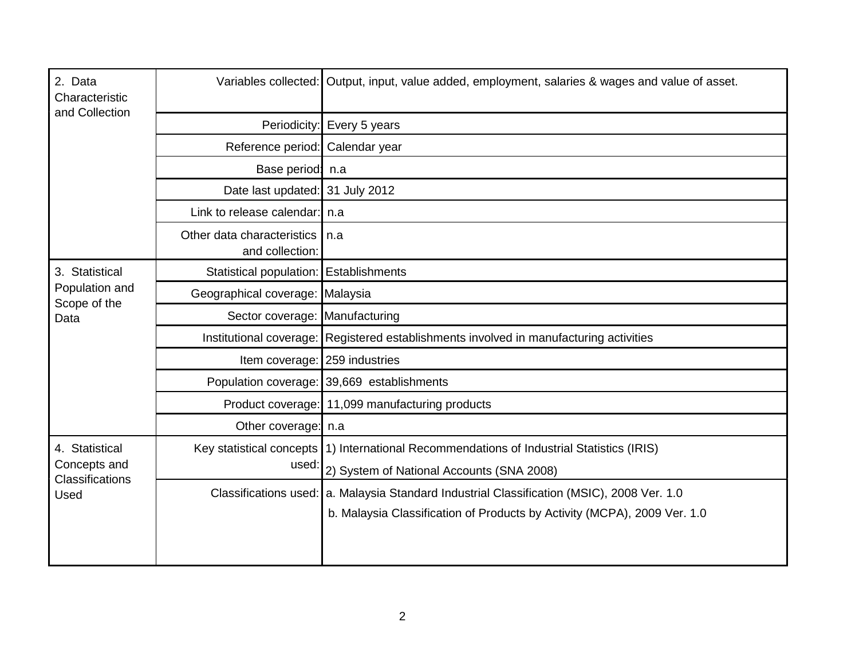| 2. Data<br>Characteristic<br>and Collection                      |                                               | Variables collected: Output, input, value added, employment, salaries & wages and value of asset. |
|------------------------------------------------------------------|-----------------------------------------------|---------------------------------------------------------------------------------------------------|
|                                                                  | Periodicity:                                  | Every 5 years                                                                                     |
|                                                                  | Reference period: Calendar year               |                                                                                                   |
|                                                                  | Base period: n.a                              |                                                                                                   |
|                                                                  | Date last updated: 31 July 2012               |                                                                                                   |
|                                                                  | Link to release calendar: n.a                 |                                                                                                   |
|                                                                  | Other data characteristics<br>and collection: | l n.a                                                                                             |
| 3. Statistical<br>Population and<br>Scope of the<br>Data         | Statistical population:   Establishments      |                                                                                                   |
|                                                                  | Geographical coverage: Malaysia               |                                                                                                   |
|                                                                  | Sector coverage: Manufacturing                |                                                                                                   |
|                                                                  |                                               | Institutional coverage: Registered establishments involved in manufacturing activities            |
|                                                                  | Item coverage: 259 industries                 |                                                                                                   |
|                                                                  |                                               | Population coverage: 39,669 establishments                                                        |
|                                                                  |                                               | Product coverage: 11,099 manufacturing products                                                   |
|                                                                  | Other coverage: n.a                           |                                                                                                   |
| 4. Statistical<br>Concepts and<br><b>Classifications</b><br>Used |                                               | Key statistical concepts (1) International Recommendations of Industrial Statistics (IRIS)        |
|                                                                  | used:                                         | 2) System of National Accounts (SNA 2008)                                                         |
|                                                                  |                                               | Classifications used: a. Malaysia Standard Industrial Classification (MSIC), 2008 Ver. 1.0        |
|                                                                  |                                               | b. Malaysia Classification of Products by Activity (MCPA), 2009 Ver. 1.0                          |
|                                                                  |                                               |                                                                                                   |